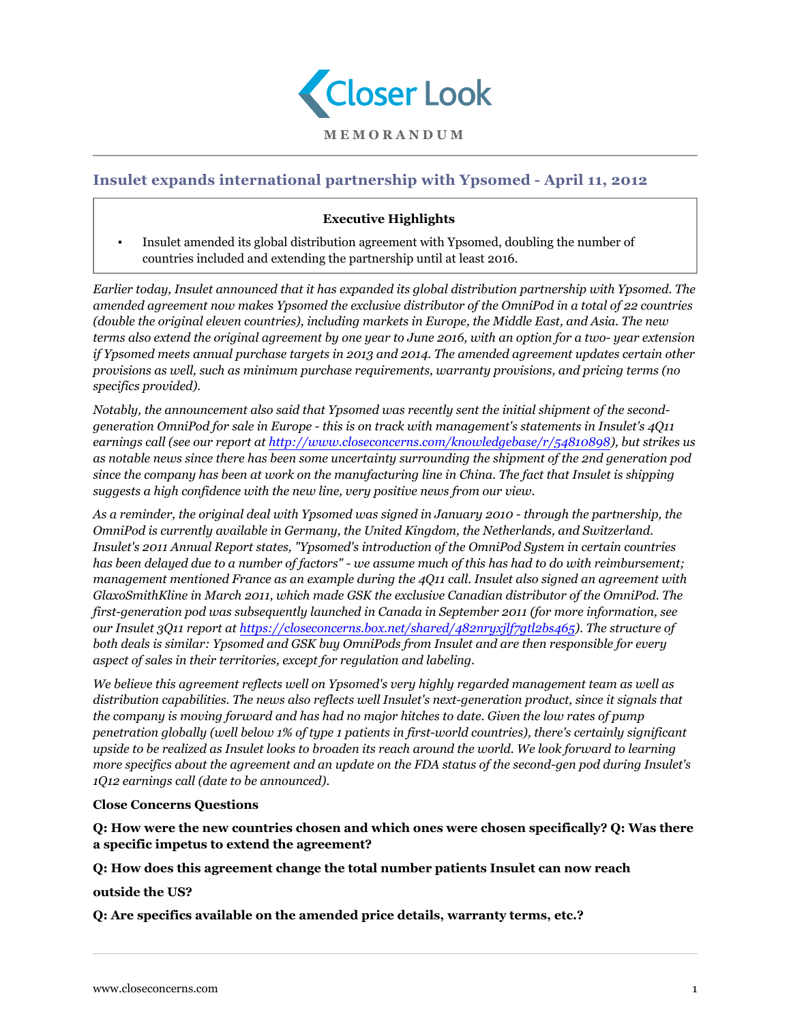

## **Insulet expands international partnership with Ypsomed - April 11, 2012**

## **Executive Highlights**

▪ Insulet amended its global distribution agreement with Ypsomed, doubling the number of countries included and extending the partnership until at least 2016.

*Earlier today, Insulet announced that it has expanded its global distribution partnership with Ypsomed. The amended agreement now makes Ypsomed the exclusive distributor of the OmniPod in a total of 22 countries (double the original eleven countries), including markets in Europe, the Middle East, and Asia. The new terms also extend the original agreement by one year to June 2016, with an option for a two- year extension if Ypsomed meets annual purchase targets in 2013 and 2014. The amended agreement updates certain other provisions as well, such as minimum purchase requirements, warranty provisions, and pricing terms (no specifics provided).*

*Notably, the announcement also said that Ypsomed was recently sent the initial shipment of the secondgeneration OmniPod for sale in Europe - this is on track with management's statements in Insulet's 4Q11 earnings call (see our report at [http://www.closeconcerns.com/knowledgebase/r/54810898\)](/knowledgebase/r/54810898), but strikes us as notable news since there has been some uncertainty surrounding the shipment of the 2nd generation pod since the company has been at work on the manufacturing line in China. The fact that Insulet is shipping suggests a high confidence with the new line, very positive news from our view.*

*As a reminder, the original deal with Ypsomed was signed in January 2010 - through the partnership, the OmniPod is currently available in Germany, the United Kingdom, the Netherlands, and Switzerland. Insulet's 2011 Annual Report states, "Ypsomed's introduction of the OmniPod System in certain countries has been delayed due to a number of factors" - we assume much of this has had to do with reimbursement; management mentioned France as an example during the 4Q11 call. Insulet also signed an agreement with GlaxoSmithKline in March 2011, which made GSK the exclusive Canadian distributor of the OmniPod. The first-generation pod was subsequently launched in Canada in September 2011 (for more information, see our Insulet 3Q11 report at <https://closeconcerns.box.net/shared/482nryxjlf7gtl2bs465>). The structure of both deals is similar: Ypsomed and GSK buy OmniPods from Insulet and are then responsible for every aspect of sales in their territories, except for regulation and labeling.*

*We believe this agreement reflects well on Ypsomed's very highly regarded management team as well as distribution capabilities. The news also reflects well Insulet's next-generation product, since it signals that the company is moving forward and has had no major hitches to date. Given the low rates of pump penetration globally (well below 1% of type 1 patients in first-world countries), there's certainly significant upside to be realized as Insulet looks to broaden its reach around the world. We look forward to learning more specifics about the agreement and an update on the FDA status of the second-gen pod during Insulet's 1Q12 earnings call (date to be announced).*

## **Close Concerns Questions**

**Q: How were the new countries chosen and which ones were chosen specifically? Q: Was there a specific impetus to extend the agreement?**

**Q: How does this agreement change the total number patients Insulet can now reach**

**outside the US?**

**Q: Are specifics available on the amended price details, warranty terms, etc.?**